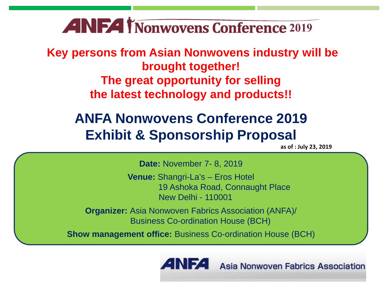# **ANFA INOnwovens Conference 2019**

**Key persons from Asian Nonwovens industry will be brought together! The great opportunity for selling the latest technology and products!!** 

# **ANFA Nonwovens Conference 2019 Exhibit & Sponsorship Proposal**

**as of : July 23, 2019**

**Date:** November 7- 8, 2019

**Venue:** Shangri-La's – Eros Hotel 19 Ashoka Road, Connaught Place New Delhi - 110001

**Organizer:** Asia Nonwoven Fabrics Association (ANFA)/ Business Co-ordination House (BCH)

**Show management office:** Business Co-ordination House (BCH)

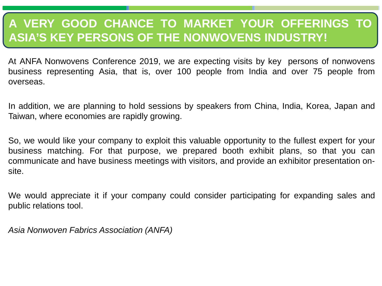# **A VERY GOOD CHANCE TO MARKET YOUR OFFERINGS TO ASIA'S KEY PERSONS OF THE NONWOVENS INDUSTRY!**

At ANFA Nonwovens Conference 2019, we are expecting visits by key persons of nonwovens business representing Asia, that is, over 100 people from India and over 75 people from overseas.

In addition, we are planning to hold sessions by speakers from China, India, Korea, Japan and Taiwan, where economies are rapidly growing.

So, we would like your company to exploit this valuable opportunity to the fullest expert for your business matching. For that purpose, we prepared booth exhibit plans, so that you can communicate and have business meetings with visitors, and provide an exhibitor presentation onsite.

We would appreciate it if your company could consider participating for expanding sales and public relations tool.

*Asia Nonwoven Fabrics Association (ANFA)*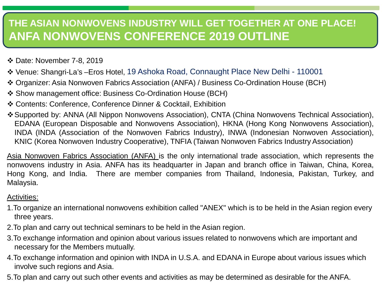### **THE ASIAN NONWOVENS INDUSTRY WILL GET TOGETHER AT ONE PLACE! ANFA NONWOVENS CONFERENCE 2019 OUTLINE**

- Date: November 7-8, 2019
- Venue: Shangri-La's –Eros Hotel, 19 Ashoka Road, Connaught Place New Delhi 110001
- Organizer: Asia Nonwoven Fabrics Association (ANFA) / Business Co-Ordination House (BCH)
- Show management office: Business Co-Ordination House (BCH)
- Contents: Conference, Conference Dinner & Cocktail, Exhibition
- Supported by: ANNA (All Nippon Nonwovens Association), CNTA (China Nonwovens Technical Association), EDANA (European Disposable and Nonwovens Association), HKNA (Hong Kong Nonwovens Association), INDA (INDA (Association of the Nonwoven Fabrics Industry), INWA (Indonesian Nonwoven Association), KNIC (Korea Nonwoven Industry Cooperative), TNFIA (Taiwan Nonwoven Fabrics Industry Association)

Asia Nonwoven Fabrics Association (ANFA) is the only international trade association, which represents the nonwovens industry in Asia. ANFA has its headquarter in Japan and branch office in Taiwan, China, Korea, Hong Kong, and India. There are member companies from Thailand, Indonesia, Pakistan, Turkey, and Malaysia.

#### Activities:

- 1.To organize an international nonwovens exhibition called "ANEX" which is to be held in the Asian region every three years.
- 2.To plan and carry out technical seminars to be held in the Asian region.
- 3.To exchange information and opinion about various issues related to nonwovens which are important and necessary for the Members mutually.
- 4.To exchange information and opinion with INDA in U.S.A. and EDANA in Europe about various issues which involve such regions and Asia.
- 5.To plan and carry out such other events and activities as may be determined as desirable for the ANFA.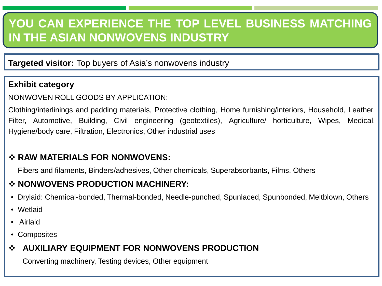# **YOU CAN EXPERIENCE THE TOP LEVEL BUSINESS MATCHING IN THE ASIAN NONWOVENS INDUSTRY**

**Targeted visitor:** Top buyers of Asia's nonwovens industry

#### **Exhibit category**

#### NONWOVEN ROLL GOODS BY APPLICATION:

Clothing/interlinings and padding materials, Protective clothing, Home furnishing/interiors, Household, Leather, Filter, Automotive, Building, Civil engineering (geotextiles), Agriculture/ horticulture, Wipes, Medical, Hygiene/body care, Filtration, Electronics, Other industrial uses

#### **RAW MATERIALS FOR NONWOVENS:**

Fibers and filaments, Binders/adhesives, Other chemicals, Superabsorbants, Films, Others

#### $\div$  **NONWOVENS PRODUCTION MACHINERY:**

- Drylaid: Chemical-bonded, Thermal-bonded, Needle-punched, Spunlaced, Spunbonded, Meltblown, Others
- Wetlaid
- Airlaid
- Composites

#### **AUXILIARY EQUIPMENT FOR NONWOVENS PRODUCTION**

Converting machinery, Testing devices, Other equipment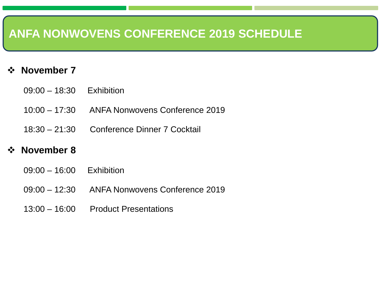## **ANFA NONWOVENS CONFERENCE 2019 SCHEDULE**

#### **☆** November 7

- 09:00 18:30 Exhibition
- 10:00 17:30 ANFA Nonwovens Conference 2019
- 18:30 21:30 Conference Dinner 7 Cocktail

#### **November 8**

- 09:00 16:00 Exhibition
- 09:00 12:30 ANFA Nonwovens Conference 2019
- 13:00 16:00 Product Presentations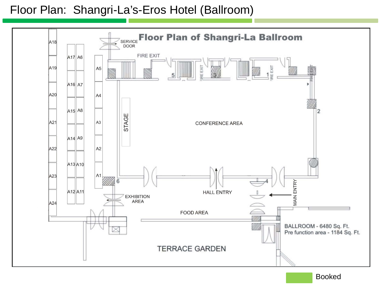### Floor Plan: Shangri-La's-Eros Hotel (Ballroom)



Booked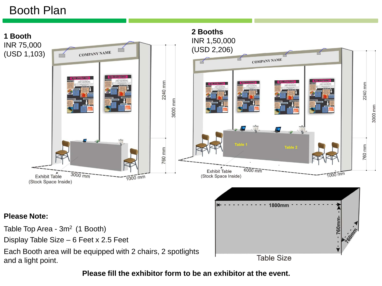## Booth Plan

**2 Booths 1 Booth**  INR 1,50,000 INR 75,000 (USD 2,206)**COMPANY NAME** (USD 1,103) **COMPANY NAME** 2240 mm 2240 mm 3000 mm 3000 mm Table 2 760 mm 760 mm  $6000 \overline{mm}$ **Exhibit Table**  $3000$  mm 1000 mm Exhibit Table (Stock Space Inside)  $1000$  mm (Stock Space Inside)

#### **Please Note:**

Table Top Area - 3m<sup>2</sup> (1 Booth)

Display Table Size – 6 Feet x 2.5 Feet

Each Booth area will be equipped with 2 chairs, 2 spotlights and a light point.



**Please fill the exhibitor form to be an exhibitor at the event.**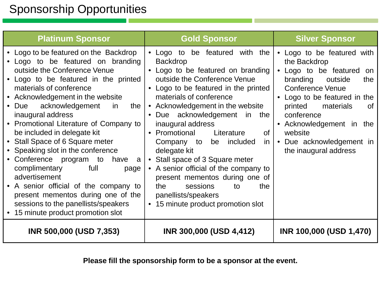## Sponsorship Opportunities

| <b>Platinum Sponsor</b>                                                                                                                                                                                                                                                                                                                                                                                                                                                                                                                                                                                                                                                                         | <b>Gold Sponsor</b>                                                                                                                                                                                                                                                                                                                                                                                                                                                                                                                                                                            | <b>Silver Sponsor</b>                                                                                                                                                                                                                                                                                    |
|-------------------------------------------------------------------------------------------------------------------------------------------------------------------------------------------------------------------------------------------------------------------------------------------------------------------------------------------------------------------------------------------------------------------------------------------------------------------------------------------------------------------------------------------------------------------------------------------------------------------------------------------------------------------------------------------------|------------------------------------------------------------------------------------------------------------------------------------------------------------------------------------------------------------------------------------------------------------------------------------------------------------------------------------------------------------------------------------------------------------------------------------------------------------------------------------------------------------------------------------------------------------------------------------------------|----------------------------------------------------------------------------------------------------------------------------------------------------------------------------------------------------------------------------------------------------------------------------------------------------------|
| • Logo to be featured on the Backdrop<br>Logo to be featured on branding<br>outside the Conference Venue<br>• Logo to be featured in the printed<br>materials of conference<br>• Acknowledgement in the website<br>acknowledgement<br>$\bullet$ Due<br>the  <br>-in<br>inaugural address<br>• Promotional Literature of Company to<br>be included in delegate kit<br>• Stall Space of 6 Square meter<br>• Speaking slot in the conference<br>• Conference program to<br>have<br>a<br>complimentary<br>full<br>page<br>advertisement<br>• A senior official of the company to<br>present mementos during one of the<br>sessions to the panellists/speakers<br>• 15 minute product promotion slot | • Logo to be featured with the<br><b>Backdrop</b><br>• Logo to be featured on branding<br>outside the Conference Venue<br>• Logo to be featured in the printed<br>materials of conference<br>• Acknowledgement in the website<br>• Due acknowledgement in the<br>inaugural address<br>• Promotional<br>Literature<br><b>of</b><br>be included<br>Company to<br>in I<br>delegate kit<br>• Stall space of 3 Square meter<br>• A senior official of the company to<br>present mementos during one of<br>sessions<br>the<br>the<br>to<br>panellists/speakers<br>• 15 minute product promotion slot | • Logo to be featured with<br>the Backdrop<br>• Logo to be featured<br>on<br>branding<br>outside<br>the<br><b>Conference Venue</b><br>• Logo to be featured in the<br>materials<br>printed<br>0f<br>conference<br>• Acknowledgement in the<br>website<br>Due acknowledgement in<br>the inaugural address |
| INR 500,000 (USD 7,353)                                                                                                                                                                                                                                                                                                                                                                                                                                                                                                                                                                                                                                                                         | INR 300,000 (USD 4,412)                                                                                                                                                                                                                                                                                                                                                                                                                                                                                                                                                                        | INR 100,000 (USD 1,470)                                                                                                                                                                                                                                                                                  |

**Please fill the sponsorship form to be a sponsor at the event.**